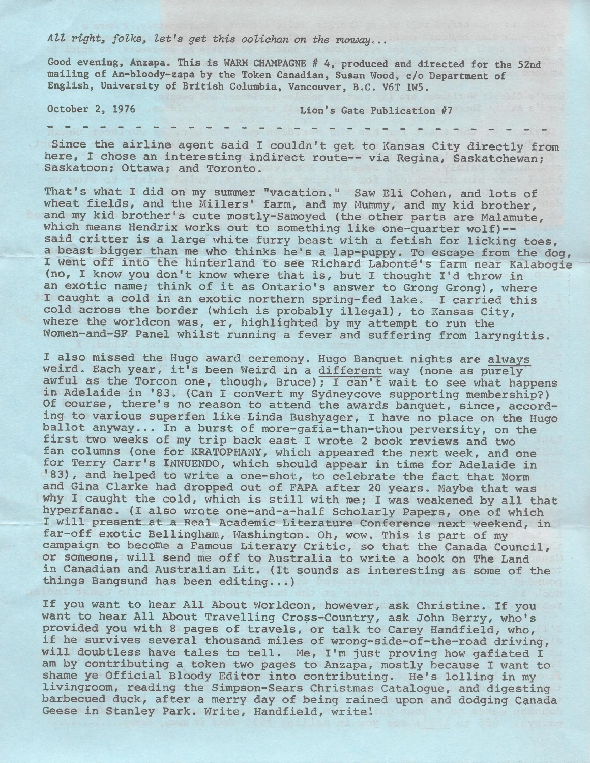## *Att Pight, folks, let's get this ooliahan on the runway ••.*

Good evening, Anzapa. This is WARM CHAMPAGNE # 4, produced and directed for the 52nd mailing of An-bloody-zapa by the Token Canadian, Susan Wood, c/o Department of English, University of British Columbia, Vancouver, B.C. V6T 1W5.

October 2, 1976 Lion's Gate Publication #7

Since the airline agent said I couldn't get to Kansas City directly from here, I chose an interesting indirect route-- via Regina, Saskatchewan; Saskatoon; Ottawa; and Toronto.

The function of  $\tau$  ,  $\tau$  ,  $\tau$  ,  $\tau$  ,  $\tau$  ,  $\tau$  ,  $\tau$  ,  $\tau$  ,  $\tau$  ,  $\tau$  ,  $\tau$  ,  $\tau$  ,  $\tau$  ,  $\tau$  ,  $\tau$  ,  $\tau$  ,  $\tau$  ,  $\tau$  ,  $\tau$  ,  $\tau$  ,  $\tau$  ,  $\tau$  ,  $\tau$  ,  $\tau$  ,  $\tau$  ,  $\tau$  ,  $\tau$  ,  $\tau$  ,  $\tau$  ,  $\$ 

That's what I did on my summer "vacation." Saw Eli Cohen, and lots of wheat fields, and the Millers' farm, and my Mummy, and my kid brother, and my kid brother's cute mostly-Samoyed {the other parts are Malamute, which means Hendrix works out to something like one-quarter wolf)- said critter is a large white furry beast with a fetish for licking toes, a beast bigger than me who thinks he's a lap-puppy. To escape from the dog, I went off into the hinterland to see Richard Labonté's farm near Kalabogie (no, I know you don't know where that is, but I thought I'd throw in an exotic name; think of it as Ontario's answer to Grong Grong), where I caught a cold in an exotic northern spring-fed lake. I carried this cold across the border {which is probably illegal), to Kansas City, where the worldcon was, er, highlighted by my attempt to run the Women-and-SF Panel whilst running a fever and suffering from laryngitis.

I also missed the Hugo award ceremony. Hugo Banquet nights are always weird. Each year, it's been Weird in a different way {none as purely awful as the Torcon one, though, Bruce); I can't wait to see what happens in Adelaide in '83. (Can I convert my Sydneycove supporting membership?) Of course, there's no reason to attend the awards banquet, since, according to various superfen like Linda Bushyager, I have no place on the Hugo ballot anyway ... In a burst of more-gafia-than-thou perversity, on the first two weeks of my trip back east I wrote 2 book reviews and two fan columns (one for KRATOPHANY, which appeared the next week, and one for Terry Carr's INNUENDO, which should appear in time for Adelaide in '83), and helped to write a one-shot, to celebrate the fact that Norm and Gina Clarke had dropped out of FAPA after 20 years. Maybe that was why I caught the cold, which is still with me; I was weakened by all that hyperfanac. (I also wrote one-and-a-half Scholarly Papers, one of which I will present at a Real Academic Literature Conference next weekend, in far-off exotic Bellingham, Washington. Oh, wow. This is part of my campaign to become a Famous Literary Critic, so that the Canada Council, or someone, will send me off to Australia to write a book on The Land in Canadian and Australian Lit. (It sounds as interesting as some of the things Bangsund has been editing...)

If you want to hear All About Worldcon, however, ask Christine. If you want to hear All About Travelling Cross-Country, ask John Berry, who's provided you with 8 pages of travels, or talk to Carey Handfield, who, if he survives several thousand miles of wrong-side-of-the-road driving, will doubtless have tales to tell. Me, I'm just proving how gafiated I am by contributing a token two pages to Anzapa, mostly because I want to shame ye Official Bloody Editor into contributing. He's lolling in my livingroom, reading the Simpson-Sears Christmas Catalogue, and digesting barbecued duck, after a merry day of being rained upon and dodging Canada Geese in Stanley Park. Write, Handfield, write!